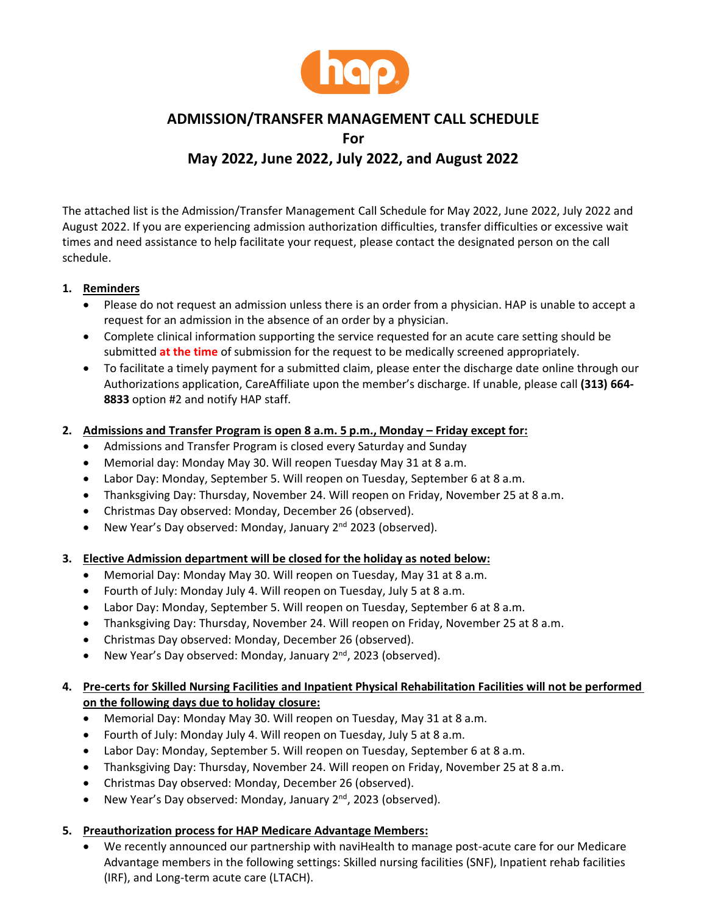

# **ADMISSION/TRANSFER MANAGEMENT CALL SCHEDULE For**

# **May 2022, June 2022, July 2022, and August 2022**

The attached list is the Admission/Transfer Management Call Schedule for May 2022, June 2022, July 2022 and August 2022. If you are experiencing admission authorization difficulties, transfer difficulties or excessive wait times and need assistance to help facilitate your request, please contact the designated person on the call schedule.

## **1. Reminders**

- Please do not request an admission unless there is an order from a physician. HAP is unable to accept a request for an admission in the absence of an order by a physician.
- Complete clinical information supporting the service requested for an acute care setting should be submitted **at the time** of submission for the request to be medically screened appropriately.
- To facilitate a timely payment for a submitted claim, please enter the discharge date online through our Authorizations application, CareAffiliate upon the member's discharge. If unable, please call **(313) 664- 8833** option #2 and notify HAP staff.

### **2. Admissions and Transfer Program is open 8 a.m. 5 p.m., Monday – Friday except for:**

- Admissions and Transfer Program is closed every Saturday and Sunday
- Memorial day: Monday May 30. Will reopen Tuesday May 31 at 8 a.m.
- Labor Day: Monday, September 5. Will reopen on Tuesday, September 6 at 8 a.m.
- Thanksgiving Day: Thursday, November 24. Will reopen on Friday, November 25 at 8 a.m.
- Christmas Day observed: Monday, December 26 (observed).
- New Year's Day observed: Monday, January 2<sup>nd</sup> 2023 (observed).

### **3. Elective Admission department will be closed for the holiday as noted below:**

- Memorial Day: Monday May 30. Will reopen on Tuesday, May 31 at 8 a.m.
- Fourth of July: Monday July 4. Will reopen on Tuesday, July 5 at 8 a.m.
- Labor Day: Monday, September 5. Will reopen on Tuesday, September 6 at 8 a.m.
- Thanksgiving Day: Thursday, November 24. Will reopen on Friday, November 25 at 8 a.m.
- Christmas Day observed: Monday, December 26 (observed).
- New Year's Day observed: Monday, January 2<sup>nd</sup>, 2023 (observed).

## **4. Pre-certs for Skilled Nursing Facilities and Inpatient Physical Rehabilitation Facilities will not be performed on the following days due to holiday closure:**

- Memorial Day: Monday May 30. Will reopen on Tuesday, May 31 at 8 a.m.
- Fourth of July: Monday July 4. Will reopen on Tuesday, July 5 at 8 a.m.
- Labor Day: Monday, September 5. Will reopen on Tuesday, September 6 at 8 a.m.
- Thanksgiving Day: Thursday, November 24. Will reopen on Friday, November 25 at 8 a.m.
- Christmas Day observed: Monday, December 26 (observed).
- New Year's Day observed: Monday, January 2<sup>nd</sup>, 2023 (observed).

### **5. Preauthorization process for HAP Medicare Advantage Members:**

• We recently announced our partnership with naviHealth to manage post-acute care for our Medicare Advantage members in the following settings: Skilled nursing facilities (SNF), Inpatient rehab facilities (IRF), and Long-term acute care (LTACH).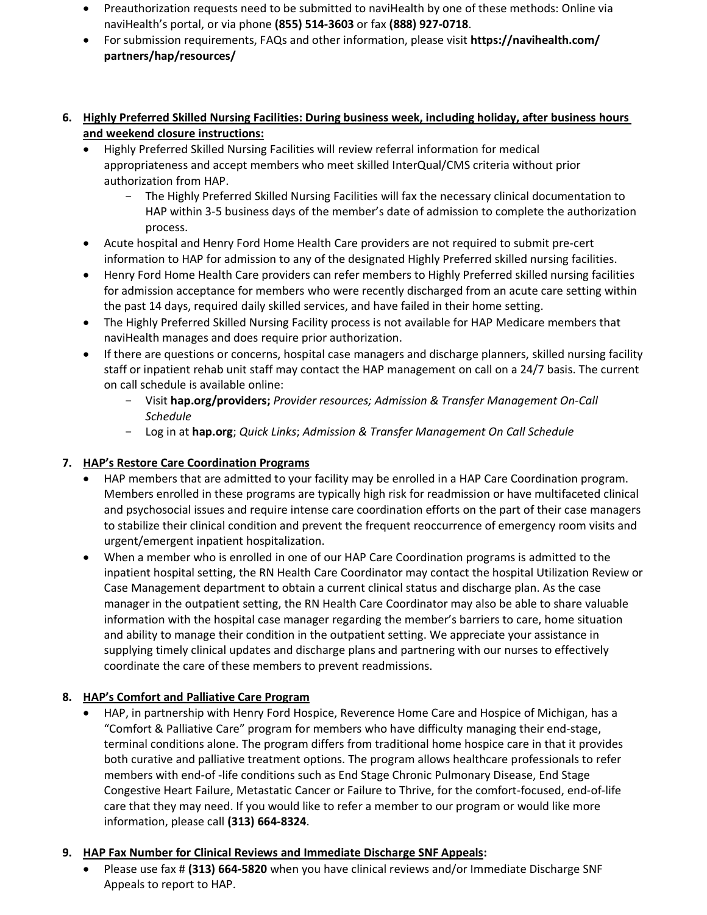- Preauthorization requests need to be submitted to naviHealth by one of these methods: Online via naviHealth's portal, or via phone **(855) 514-3603** or fax **(888) 927-0718**.
- For submission requirements, FAQs and other information, please visit **https://navihealth.com/ partners/hap/resources/**
- **6. Highly Preferred Skilled Nursing Facilities: During business week, including holiday, after business hours and weekend closure instructions:**
	- Highly Preferred Skilled Nursing Facilities will review referral information for medical appropriateness and accept members who meet skilled InterQual/CMS criteria without prior authorization from HAP.
		- The Highly Preferred Skilled Nursing Facilities will fax the necessary clinical documentation to HAP within 3-5 business days of the member's date of admission to complete the authorization process.
	- Acute hospital and Henry Ford Home Health Care providers are not required to submit pre-cert information to HAP for admission to any of the designated Highly Preferred skilled nursing facilities.
	- Henry Ford Home Health Care providers can refer members to Highly Preferred skilled nursing facilities for admission acceptance for members who were recently discharged from an acute care setting within the past 14 days, required daily skilled services, and have failed in their home setting.
	- The Highly Preferred Skilled Nursing Facility process is not available for HAP Medicare members that naviHealth manages and does require prior authorization.
	- If there are questions or concerns, hospital case managers and discharge planners, skilled nursing facility staff or inpatient rehab unit staff may contact the HAP management on call on a 24/7 basis. The current on call schedule is available online:
		- Visit **hap.org/providers;** *Provider resources; Admission & Transfer Management On-Call Schedule*
		- Log in at **hap.org**; *Quick Links*; *Admission & Transfer Management On Call Schedule*

## **7. HAP's Restore Care Coordination Programs**

- HAP members that are admitted to your facility may be enrolled in a HAP Care Coordination program. Members enrolled in these programs are typically high risk for readmission or have multifaceted clinical and psychosocial issues and require intense care coordination efforts on the part of their case managers to stabilize their clinical condition and prevent the frequent reoccurrence of emergency room visits and urgent/emergent inpatient hospitalization.
- When a member who is enrolled in one of our HAP Care Coordination programs is admitted to the inpatient hospital setting, the RN Health Care Coordinator may contact the hospital Utilization Review or Case Management department to obtain a current clinical status and discharge plan. As the case manager in the outpatient setting, the RN Health Care Coordinator may also be able to share valuable information with the hospital case manager regarding the member's barriers to care, home situation and ability to manage their condition in the outpatient setting. We appreciate your assistance in supplying timely clinical updates and discharge plans and partnering with our nurses to effectively coordinate the care of these members to prevent readmissions.

# **8. HAP's Comfort and Palliative Care Program**

• HAP, in partnership with Henry Ford Hospice, Reverence Home Care and Hospice of Michigan, has a "Comfort & Palliative Care" program for members who have difficulty managing their end-stage, terminal conditions alone. The program differs from traditional home hospice care in that it provides both curative and palliative treatment options. The program allows healthcare professionals to refer members with end-of -life conditions such as End Stage Chronic Pulmonary Disease, End Stage Congestive Heart Failure, Metastatic Cancer or Failure to Thrive, for the comfort-focused, end-of-life care that they may need. If you would like to refer a member to our program or would like more information, please call **(313) 664-8324**.

## **9. HAP Fax Number for Clinical Reviews and Immediate Discharge SNF Appeals:**

• Please use fax # **(313) 664-5820** when you have clinical reviews and/or Immediate Discharge SNF Appeals to report to HAP.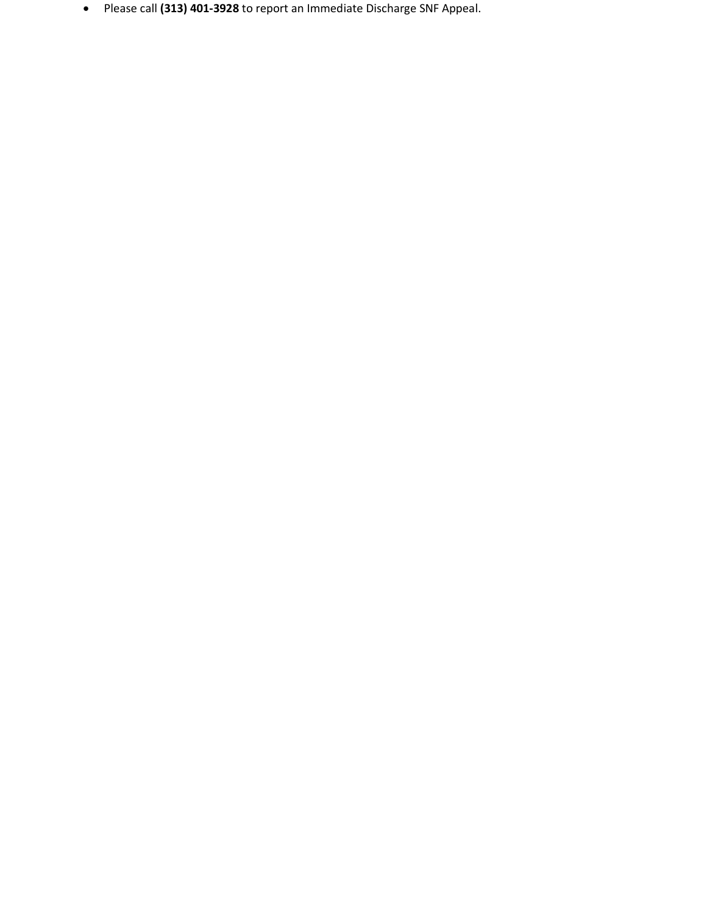• Please call **(313) 401-3928** to report an Immediate Discharge SNF Appeal.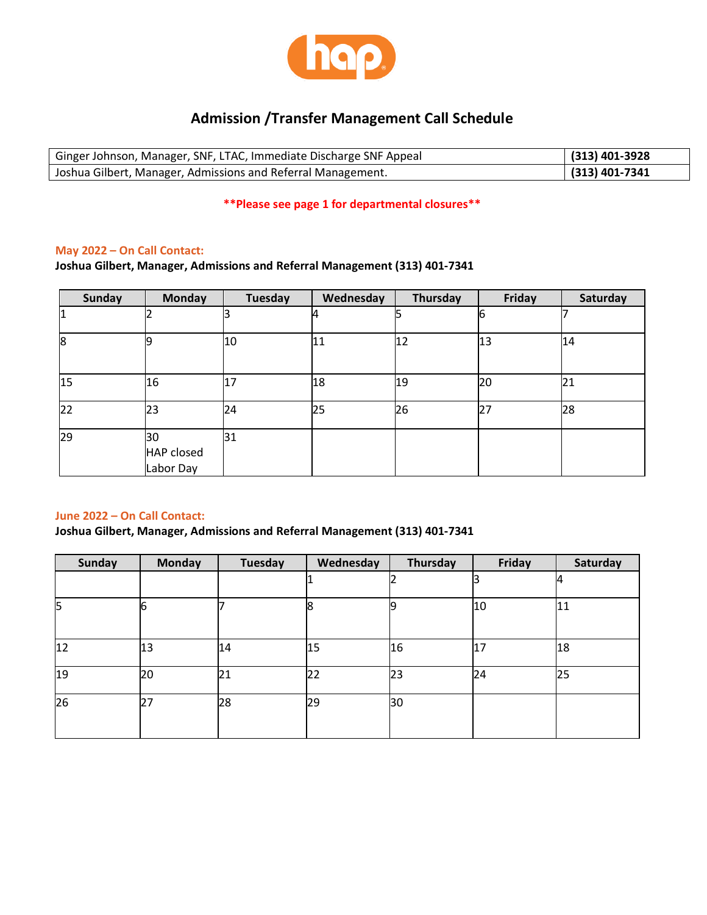

# **Admission /Transfer Management Call Schedule**

| Ginger Johnson, Manager, SNF, LTAC, Immediate Discharge SNF Appeal | $(313)$ 401-3928 |
|--------------------------------------------------------------------|------------------|
| Joshua Gilbert, Manager, Admissions and Referral Management.       | $(313)$ 401-7341 |

### **\*\*Please see page 1 for departmental closures\*\***

### **May 2022 – On Call Contact:**

**Joshua Gilbert, Manager, Admissions and Referral Management (313) 401-7341**

| <b>Sunday</b> | <b>Monday</b>                        | Tuesday | Wednesday | Thursday | <b>Friday</b> | Saturday |
|---------------|--------------------------------------|---------|-----------|----------|---------------|----------|
|               |                                      |         | 4         |          |               |          |
| 8             |                                      | 10      | 11        | 12       | 13            | 14       |
| 15            | 16                                   | 17      | 18        | 19       | 20            | 21       |
| 22            | 23                                   | 24      | 25        | 26       | 27            | 28       |
| 29            | 30<br><b>HAP closed</b><br>Labor Day | 31      |           |          |               |          |

### **June 2022 – On Call Contact:**

**Joshua Gilbert, Manager, Admissions and Referral Management (313) 401-7341**

| <b>Sunday</b> | <b>Monday</b> | <b>Tuesday</b> | Wednesday | Thursday | Friday | Saturday |
|---------------|---------------|----------------|-----------|----------|--------|----------|
|               |               |                |           |          |        | 14       |
| 5             | 6             |                | 18        |          | 10     | 11       |
| 12            | 13            | 14             | 15        | 16       | 17     | 18       |
| 19            | 20            | 21             | 22        | 23       | 24     | 25       |
| 26            | 27            | 28             | 29        | 30       |        |          |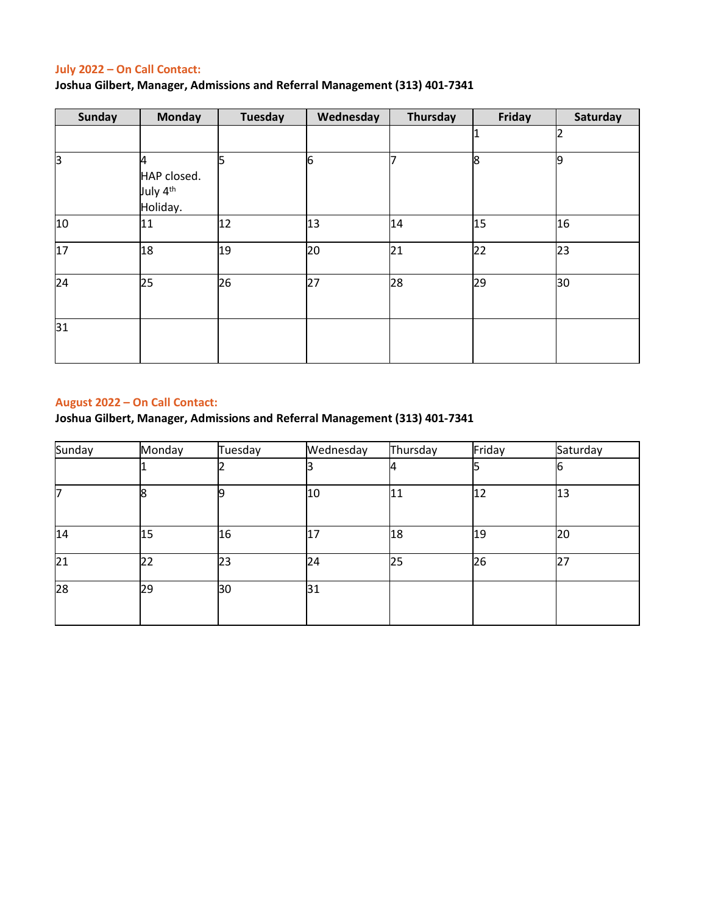## **July 2022 – On Call Contact:**

**Joshua Gilbert, Manager, Admissions and Referral Management (313) 401-7341**

| <b>Sunday</b> | <b>Monday</b>                                        | <b>Tuesday</b> | Wednesday | Thursday | Friday | Saturday       |
|---------------|------------------------------------------------------|----------------|-----------|----------|--------|----------------|
|               |                                                      |                |           |          | 11     | $\overline{2}$ |
| ß             | 4<br>HAP closed.<br>July 4 <sup>th</sup><br>Holiday. |                | 6         |          | 8      | 9              |
| 10            | 11                                                   | 12             | 13        | 14       | 15     | 16             |
| 17            | 18                                                   | 19             | 20        | 21       | 22     | 23             |
| 24            | 25                                                   | 26             | 27        | 28       | 29     | 30             |
| 31            |                                                      |                |           |          |        |                |

## **August 2022 – On Call Contact:**

**Joshua Gilbert, Manager, Admissions and Referral Management (313) 401-7341**

| Sunday          | Monday | Tuesday | Wednesday | Thursday | Friday | Saturday |
|-----------------|--------|---------|-----------|----------|--------|----------|
|                 |        |         |           |          |        | 6        |
| ℸ               | 8      |         | 10        | 11       | 12     | 13       |
| 14              | 15     | 16      | 17        | 18       | 19     | 20       |
| $\overline{21}$ | 22     | 23      | 24        | 25       | 26     | 27       |
| 28              | 29     | 30      | 31        |          |        |          |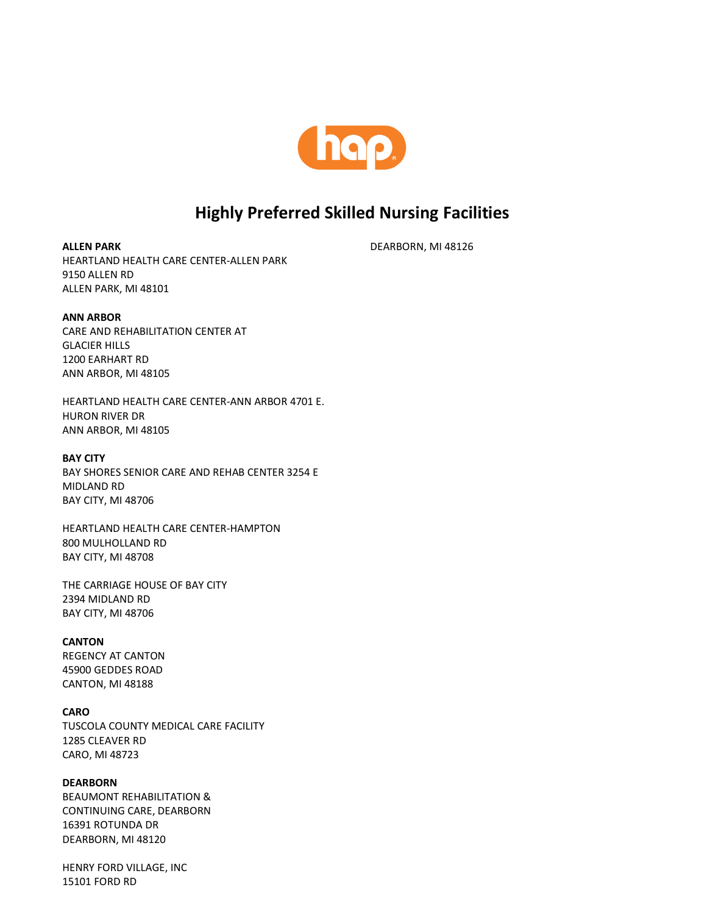

# **Highly Preferred Skilled Nursing Facilities**

DEARBORN, MI 48126

**ALLEN PARK** HEARTLAND HEALTH CARE CENTER-ALLEN PARK 9150 ALLEN RD ALLEN PARK, MI 48101

#### **ANN ARBOR**

CARE AND REHABILITATION CENTER AT GLACIER HILLS 1200 EARHART RD ANN ARBOR, MI 48105

HEARTLAND HEALTH CARE CENTER-ANN ARBOR 4701 E. HURON RIVER DR ANN ARBOR, MI 48105

#### **BAY CITY**

BAY SHORES SENIOR CARE AND REHAB CENTER 3254 E MIDLAND RD BAY CITY, MI 48706

HEARTLAND HEALTH CARE CENTER-HAMPTON 800 MULHOLLAND RD BAY CITY, MI 48708

THE CARRIAGE HOUSE OF BAY CITY 2394 MIDLAND RD BAY CITY, MI 48706

### **CANTON**

REGENCY AT CANTON 45900 GEDDES ROAD CANTON, MI 48188

#### **CARO**

TUSCOLA COUNTY MEDICAL CARE FACILITY 1285 CLEAVER RD CARO, MI 48723

### **DEARBORN**

BEAUMONT REHABILITATION & CONTINUING CARE, DEARBORN 16391 ROTUNDA DR DEARBORN, MI 48120

HENRY FORD VILLAGE, INC 15101 FORD RD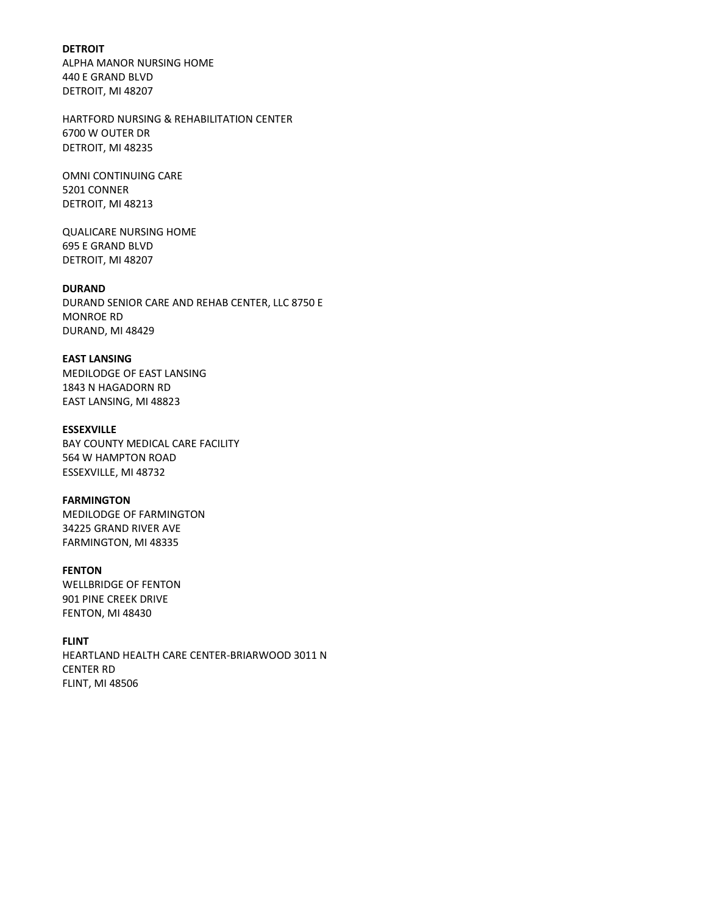**DETROIT** ALPHA MANOR NURSING HOME 440 E GRAND BLVD DETROIT, MI 48207

HARTFORD NURSING & REHABILITATION CENTER 6700 W OUTER DR DETROIT, MI 48235

OMNI CONTINUING CARE 5201 CONNER DETROIT, MI 48213

QUALICARE NURSING HOME 695 E GRAND BLVD DETROIT, MI 48207

### **DURAND**

DURAND SENIOR CARE AND REHAB CENTER, LLC 8750 E MONROE RD DURAND, MI 48429

#### **EAST LANSING**

MEDILODGE OF EAST LANSING 1843 N HAGADORN RD EAST LANSING, MI 48823

#### **ESSEXVILLE**

BAY COUNTY MEDICAL CARE FACILITY 564 W HAMPTON ROAD ESSEXVILLE, MI 48732

#### **FARMINGTON**

MEDILODGE OF FARMINGTON 34225 GRAND RIVER AVE FARMINGTON, MI 48335

### **FENTON**

WELLBRIDGE OF FENTON 901 PINE CREEK DRIVE FENTON, MI 48430

### **FLINT**

HEARTLAND HEALTH CARE CENTER-BRIARWOOD 3011 N CENTER RD FLINT, MI 48506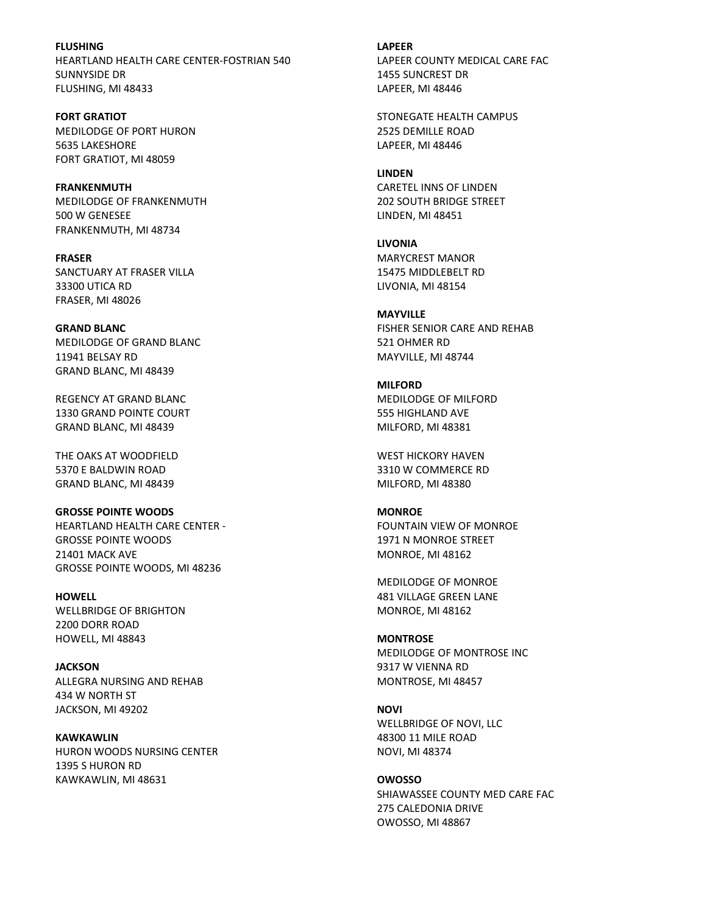**FLUSHING** HEARTLAND HEALTH CARE CENTER-FOSTRIAN 540 SUNNYSIDE DR FLUSHING, MI 48433

**FORT GRATIOT**  MEDILODGE OF PORT HURON 5635 LAKESHORE FORT GRATIOT, MI 48059

**FRANKENMUTH**  MEDILODGE OF FRANKENMUTH 500 W GENESEE FRANKENMUTH, MI 48734

**FRASER** SANCTUARY AT FRASER VILLA 33300 UTICA RD FRASER, MI 48026

**GRAND BLANC**  MEDILODGE OF GRAND BLANC 11941 BELSAY RD GRAND BLANC, MI 48439

REGENCY AT GRAND BLANC 1330 GRAND POINTE COURT GRAND BLANC, MI 48439

THE OAKS AT WOODFIELD 5370 E BALDWIN ROAD GRAND BLANC, MI 48439

**GROSSE POINTE WOODS**  HEARTLAND HEALTH CARE CENTER - GROSSE POINTE WOODS 21401 MACK AVE GROSSE POINTE WOODS, MI 48236

**HOWELL** WELLBRIDGE OF BRIGHTON 2200 DORR ROAD HOWELL, MI 48843

**JACKSON** ALLEGRA NURSING AND REHAB 434 W NORTH ST JACKSON, MI 49202

**KAWKAWLIN** HURON WOODS NURSING CENTER 1395 S HURON RD KAWKAWLIN, MI 48631

**LAPEER** LAPEER COUNTY MEDICAL CARE FAC 1455 SUNCREST DR LAPEER, MI 48446

STONEGATE HEALTH CAMPUS 2525 DEMILLE ROAD LAPEER, MI 48446

**LINDEN** CARETEL INNS OF LINDEN 202 SOUTH BRIDGE STREET LINDEN, MI 48451

**LIVONIA**  MARYCREST MANOR 15475 MIDDLEBELT RD LIVONIA, MI 48154

**MAYVILLE** FISHER SENIOR CARE AND REHAB 521 OHMER RD MAYVILLE, MI 48744

**MILFORD** MEDILODGE OF MILFORD 555 HIGHLAND AVE MILFORD, MI 48381

WEST HICKORY HAVEN 3310 W COMMERCE RD MILFORD, MI 48380

**MONROE** FOUNTAIN VIEW OF MONROE 1971 N MONROE STREET MONROE, MI 48162

MEDILODGE OF MONROE 481 VILLAGE GREEN LANE MONROE, MI 48162

**MONTROSE** MEDILODGE OF MONTROSE INC 9317 W VIENNA RD MONTROSE, MI 48457

**NOVI** WELLBRIDGE OF NOVI, LLC 48300 11 MILE ROAD NOVI, MI 48374

**OWOSSO** SHIAWASSEE COUNTY MED CARE FAC 275 CALEDONIA DRIVE OWOSSO, MI 48867